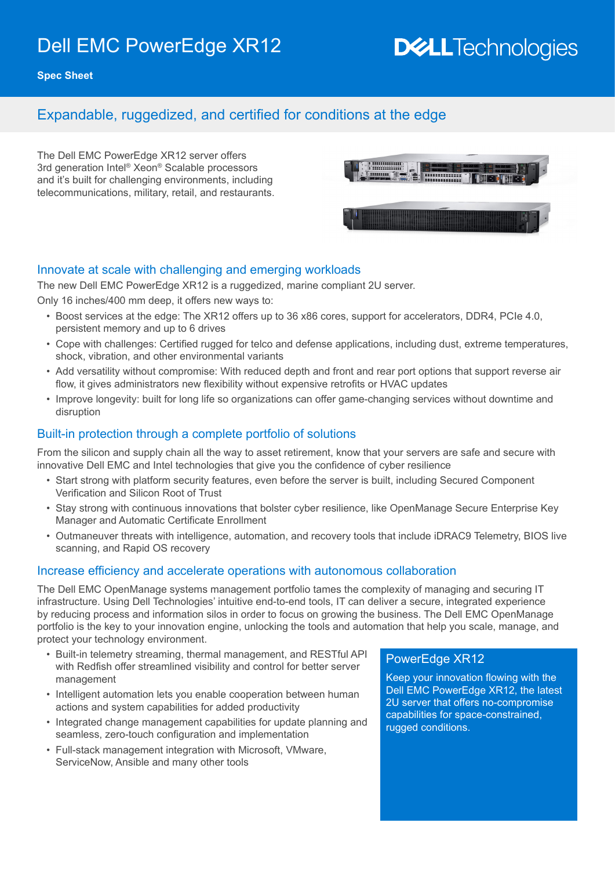## Dell EMC PowerEdge XR12

# **DELLTechnologies**

**Spec Sheet**

### Expandable, ruggedized, and certified for conditions at the edge

The Dell EMC PowerEdge XR12 server offers 3rd generation Intel® Xeon® Scalable processors and it's built for challenging environments, including telecommunications, military, retail, and restaurants.



#### Innovate at scale with challenging and emerging workloads

The new Dell EMC PowerEdge XR12 is a ruggedized, marine compliant 2U server.

Only 16 inches/400 mm deep, it offers new ways to:

- Boost services at the edge: The XR12 offers up to 36 x86 cores, support for accelerators, DDR4, PCIe 4.0, persistent memory and up to 6 drives
- Cope with challenges: Certified rugged for telco and defense applications, including dust, extreme temperatures, shock, vibration, and other environmental variants
- Add versatility without compromise: With reduced depth and front and rear port options that support reverse air flow, it gives administrators new flexibility without expensive retrofits or HVAC updates
- Improve longevity: built for long life so organizations can offer game-changing services without downtime and disruption

#### Built-in protection through a complete portfolio of solutions

From the silicon and supply chain all the way to asset retirement, know that your servers are safe and secure with innovative Dell EMC and Intel technologies that give you the confidence of cyber resilience

- Start strong with platform security features, even before the server is built, including Secured Component Verification and Silicon Root of Trust
- Stay strong with continuous innovations that bolster cyber resilience, like OpenManage Secure Enterprise Key Manager and Automatic Certificate Enrollment
- Outmaneuver threats with intelligence, automation, and recovery tools that include iDRAC9 Telemetry, BIOS live scanning, and Rapid OS recovery

#### Increase efficiency and accelerate operations with autonomous collaboration

The Dell EMC OpenManage systems management portfolio tames the complexity of managing and securing IT infrastructure. Using Dell Technologies' intuitive end-to-end tools, IT can deliver a secure, integrated experience by reducing process and information silos in order to focus on growing the business. The Dell EMC OpenManage portfolio is the key to your innovation engine, unlocking the tools and automation that help you scale, manage, and protect your technology environment.

- Built-in telemetry streaming, thermal management, and RESTful API with Redfish offer streamlined visibility and control for better server management
- Intelligent automation lets you enable cooperation between human actions and system capabilities for added productivity
- Integrated change management capabilities for update planning and seamless, zero-touch configuration and implementation
- Full-stack management integration with Microsoft, VMware, ServiceNow, Ansible and many other tools

#### PowerEdge XR12

Keep your innovation flowing with the Dell EMC PowerEdge XR12, the latest 2U server that offers no-compromise capabilities for space-constrained, rugged conditions.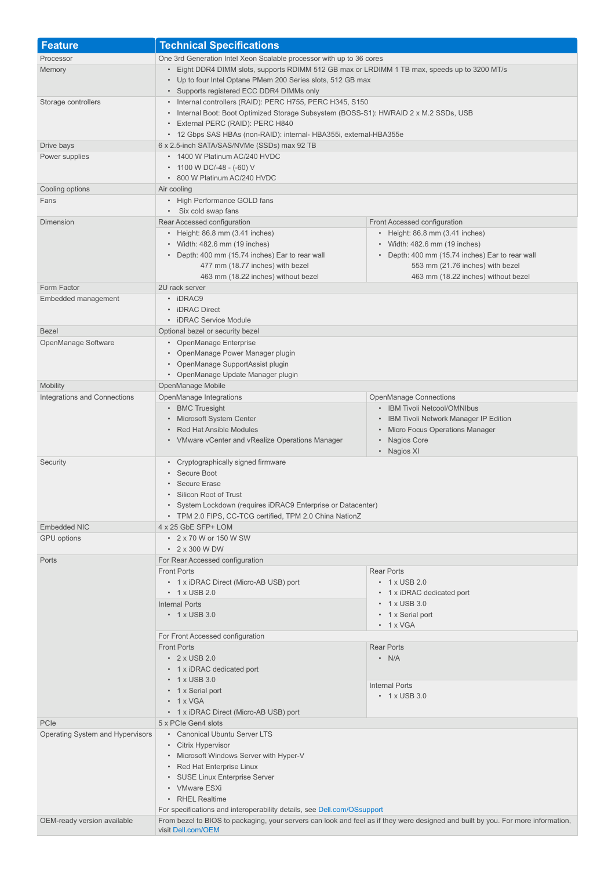| <b>Feature</b>                   | <b>Technical Specifications</b>                                                                                                                            |                                                                 |
|----------------------------------|------------------------------------------------------------------------------------------------------------------------------------------------------------|-----------------------------------------------------------------|
| Processor                        | One 3rd Generation Intel Xeon Scalable processor with up to 36 cores                                                                                       |                                                                 |
| Memory                           | • Eight DDR4 DIMM slots, supports RDIMM 512 GB max or LRDIMM 1 TB max, speeds up to 3200 MT/s<br>Up to four Intel Optane PMem 200 Series slots, 512 GB max |                                                                 |
|                                  |                                                                                                                                                            |                                                                 |
|                                  | • Supports registered ECC DDR4 DIMMs only                                                                                                                  |                                                                 |
| Storage controllers              | • Internal controllers (RAID): PERC H755, PERC H345, S150                                                                                                  |                                                                 |
|                                  | • Internal Boot: Boot Optimized Storage Subsystem (BOSS-S1): HWRAID 2 x M.2 SSDs, USB                                                                      |                                                                 |
|                                  | • External PERC (RAID): PERC H840                                                                                                                          |                                                                 |
|                                  | • 12 Gbps SAS HBAs (non-RAID): internal- HBA355i, external-HBA355e                                                                                         |                                                                 |
| Drive bays                       | 6 x 2.5-inch SATA/SAS/NVMe (SSDs) max 92 TB                                                                                                                |                                                                 |
| Power supplies                   | • 1400 W Platinum AC/240 HVDC                                                                                                                              |                                                                 |
|                                  | • 1100 W DC/-48 - (-60) V                                                                                                                                  |                                                                 |
|                                  | • 800 W Platinum AC/240 HVDC                                                                                                                               |                                                                 |
| Cooling options                  | Air cooling                                                                                                                                                |                                                                 |
| Fans                             | • High Performance GOLD fans                                                                                                                               |                                                                 |
| Dimension                        | • Six cold swap fans                                                                                                                                       |                                                                 |
|                                  | Rear Accessed configuration<br>• Height: 86.8 mm (3.41 inches)                                                                                             | Front Accessed configuration<br>• Height: 86.8 mm (3.41 inches) |
|                                  | • Width: 482.6 mm (19 inches)                                                                                                                              | • Width: 482.6 mm (19 inches)                                   |
|                                  | • Depth: 400 mm (15.74 inches) Ear to rear wall                                                                                                            | • Depth: 400 mm (15.74 inches) Ear to rear wall                 |
|                                  | 477 mm (18.77 inches) with bezel                                                                                                                           | 553 mm (21.76 inches) with bezel                                |
|                                  | 463 mm (18.22 inches) without bezel                                                                                                                        | 463 mm (18.22 inches) without bezel                             |
| Form Factor                      | 2U rack server                                                                                                                                             |                                                                 |
| Embedded management              | • iDRAC9                                                                                                                                                   |                                                                 |
|                                  | • iDRAC Direct                                                                                                                                             |                                                                 |
|                                  | • iDRAC Service Module                                                                                                                                     |                                                                 |
| <b>Bezel</b>                     | Optional bezel or security bezel                                                                                                                           |                                                                 |
| OpenManage Software              | • OpenManage Enterprise                                                                                                                                    |                                                                 |
|                                  | • OpenManage Power Manager plugin                                                                                                                          |                                                                 |
|                                  | • OpenManage SupportAssist plugin                                                                                                                          |                                                                 |
|                                  | • OpenManage Update Manager plugin                                                                                                                         |                                                                 |
| Mobility                         | OpenManage Mobile                                                                                                                                          |                                                                 |
| Integrations and Connections     | OpenManage Integrations                                                                                                                                    | <b>OpenManage Connections</b>                                   |
|                                  | • BMC Truesight                                                                                                                                            | • IBM Tivoli Netcool/OMNIbus                                    |
|                                  | • Microsoft System Center<br>• Red Hat Ansible Modules                                                                                                     | • IBM Tivoli Network Manager IP Edition                         |
|                                  | • VMware vCenter and vRealize Operations Manager                                                                                                           | • Micro Focus Operations Manager<br>• Nagios Core               |
|                                  |                                                                                                                                                            | • Nagios XI                                                     |
| Security                         | • Cryptographically signed firmware                                                                                                                        |                                                                 |
|                                  | • Secure Boot                                                                                                                                              |                                                                 |
|                                  | <b>Secure Erase</b>                                                                                                                                        |                                                                 |
|                                  | Silicon Root of Trust<br>$\bullet$                                                                                                                         |                                                                 |
|                                  | • System Lockdown (requires iDRAC9 Enterprise or Datacenter)<br>• TPM 2.0 FIPS, CC-TCG certified, TPM 2.0 China NationZ                                    |                                                                 |
|                                  |                                                                                                                                                            |                                                                 |
| <b>Embedded NIC</b>              | 4 x 25 GbE SFP+ LOM                                                                                                                                        |                                                                 |
| <b>GPU</b> options               | • 2 x 70 W or 150 W SW                                                                                                                                     |                                                                 |
|                                  | $\cdot$ 2 x 300 W DW                                                                                                                                       |                                                                 |
| Ports                            | For Rear Accessed configuration                                                                                                                            |                                                                 |
|                                  | <b>Front Ports</b>                                                                                                                                         | <b>Rear Ports</b>                                               |
|                                  | • 1 x iDRAC Direct (Micro-AB USB) port                                                                                                                     | $\cdot$ 1 x USB 2.0                                             |
|                                  | $\cdot$ 1 x USB 2.0                                                                                                                                        | • 1 x iDRAC dedicated port                                      |
|                                  | <b>Internal Ports</b>                                                                                                                                      | $\cdot$ 1 x USB 3.0                                             |
|                                  | $\cdot$ 1 x USB 3.0                                                                                                                                        | • 1 x Serial port                                               |
|                                  |                                                                                                                                                            | $\cdot$ 1 x VGA                                                 |
|                                  | For Front Accessed configuration<br><b>Front Ports</b>                                                                                                     | <b>Rear Ports</b>                                               |
|                                  | $\cdot$ 2 x USB 2.0                                                                                                                                        | $\cdot$ N/A                                                     |
|                                  | • 1 x iDRAC dedicated port                                                                                                                                 |                                                                 |
|                                  | $\cdot$ 1 x USB 3.0                                                                                                                                        |                                                                 |
|                                  | • 1 x Serial port                                                                                                                                          | <b>Internal Ports</b>                                           |
|                                  | $\cdot$ 1 x VGA                                                                                                                                            | $\cdot$ 1 x USB 3.0                                             |
|                                  | • 1 x iDRAC Direct (Micro-AB USB) port                                                                                                                     |                                                                 |
| PCIe                             | 5 x PCIe Gen4 slots                                                                                                                                        |                                                                 |
| Operating System and Hypervisors | • Canonical Ubuntu Server LTS                                                                                                                              |                                                                 |
|                                  | • Citrix Hypervisor                                                                                                                                        |                                                                 |
|                                  | • Microsoft Windows Server with Hyper-V                                                                                                                    |                                                                 |
|                                  | • Red Hat Enterprise Linux                                                                                                                                 |                                                                 |
|                                  | · SUSE Linux Enterprise Server                                                                                                                             |                                                                 |
|                                  | • VMware ESXi                                                                                                                                              |                                                                 |
|                                  | • RHEL Realtime                                                                                                                                            |                                                                 |
|                                  | For specifications and interoperability details, see Dell.com/OSsupport                                                                                    |                                                                 |
| OEM-ready version available      | From bezel to BIOS to packaging, your servers can look and feel as if they were designed and built by you. For more information,                           |                                                                 |
|                                  | visit Dell.com/OEM                                                                                                                                         |                                                                 |